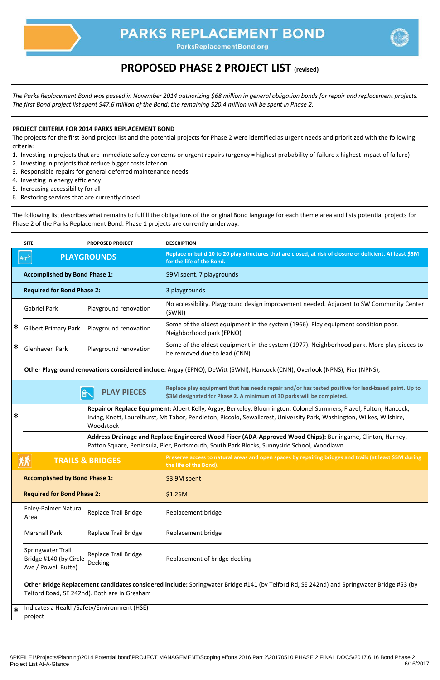

## **PARKS REPLACEMENT BOND**

ParksReplacementBond.org

|        | <b>SITE</b>                                                                                                                                                                                                                                              | <b>PROPOSED PROJECT</b>                      | <b>DESCRIPTION</b>                                                                                                                                                           |  |  |
|--------|----------------------------------------------------------------------------------------------------------------------------------------------------------------------------------------------------------------------------------------------------------|----------------------------------------------|------------------------------------------------------------------------------------------------------------------------------------------------------------------------------|--|--|
|        |                                                                                                                                                                                                                                                          | <b>PLAYGROUNDS</b>                           | Replace or build 10 to 20 play structures that are closed, at risk of closure or deficient. At least \$5M<br>for the life of the Bond.                                       |  |  |
|        | <b>Accomplished by Bond Phase 1:</b>                                                                                                                                                                                                                     |                                              | \$9M spent, 7 playgrounds                                                                                                                                                    |  |  |
|        | <b>Required for Bond Phase 2:</b>                                                                                                                                                                                                                        |                                              | 3 playgrounds                                                                                                                                                                |  |  |
|        | <b>Gabriel Park</b>                                                                                                                                                                                                                                      | Playground renovation                        | No accessibility. Playground design improvement needed. Adjacent to SW Community Center<br>(SWNI)                                                                            |  |  |
| ∗      | <b>Gilbert Primary Park</b>                                                                                                                                                                                                                              | Playground renovation                        | Some of the oldest equipment in the system (1966). Play equipment condition poor.<br>Neighborhood park (EPNO)                                                                |  |  |
| ∗      | Glenhaven Park                                                                                                                                                                                                                                           | Playground renovation                        | Some of the oldest equipment in the system (1977). Neighborhood park. More play pieces to<br>be removed due to lead (CNN)                                                    |  |  |
|        | Other Playground renovations considered include: Argay (EPNO), DeWitt (SWNI), Hancock (CNN), Overlook (NPNS), Pier (NPNS),                                                                                                                               |                                              |                                                                                                                                                                              |  |  |
|        |                                                                                                                                                                                                                                                          | <b>PLAY PIECES</b>                           | Replace play equipment that has needs repair and/or has tested positive for lead-based paint. Up to<br>\$3M designated for Phase 2. A minimum of 30 parks will be completed. |  |  |
| $\ast$ | Repair or Replace Equipment: Albert Kelly, Argay, Berkeley, Bloomington, Colonel Summers, Flavel, Fulton, Hancock,<br>Irving, Knott, Laurelhurst, Mt Tabor, Pendleton, Piccolo, Sewallcrest, University Park, Washington, Wilkes, Wilshire,<br>Woodstock |                                              |                                                                                                                                                                              |  |  |
|        | Address Drainage and Replace Engineered Wood Fiber (ADA-Approved Wood Chips): Burlingame, Clinton, Harney,<br>Patton Square, Peninsula, Pier, Portsmouth, South Park Blocks, Sunnyside School, Woodlawn                                                  |                                              |                                                                                                                                                                              |  |  |
|        |                                                                                                                                                                                                                                                          | <b>TRAILS &amp; BRIDGES</b>                  | Preserve access to natural areas and open spaces by repairing bridges and trails (at least \$5M during<br>the life of the Bond).                                             |  |  |
|        | <b>Accomplished by Bond Phase 1:</b>                                                                                                                                                                                                                     |                                              | \$3.9M spent                                                                                                                                                                 |  |  |
|        | <b>Required for Bond Phase 2:</b>                                                                                                                                                                                                                        |                                              | \$1.26M                                                                                                                                                                      |  |  |
|        | Foley-Balmer Natural<br>Area                                                                                                                                                                                                                             | <b>Replace Trail Bridge</b>                  | Replacement bridge                                                                                                                                                           |  |  |
|        | <b>Marshall Park</b>                                                                                                                                                                                                                                     | <b>Replace Trail Bridge</b>                  | Replacement bridge                                                                                                                                                           |  |  |
|        | Springwater Trail<br>Bridge #140 (by Circle<br>Ave / Powell Butte)                                                                                                                                                                                       | <b>Replace Trail Bridge</b><br>Decking       | Replacement of bridge decking                                                                                                                                                |  |  |
|        |                                                                                                                                                                                                                                                          | Telford Road, SE 242nd). Both are in Gresham | Other Bridge Replacement candidates considered include: Springwater Bridge #141 (by Telford Rd, SE 242nd) and Springwater Bridge #53 (by                                     |  |  |
| $\ast$ | project                                                                                                                                                                                                                                                  | Indicates a Health/Safety/Environment (HSE)  |                                                                                                                                                                              |  |  |

\\PKFILE1\Projects\Planning\2014 Potential bond\PROJECT MANAGEMENT\Scoping efforts 2016 Part 2\20170510 PHASE 2 FINAL DOCS\2017.6.16 Bond Phase 2 Project List At-A-Glance

## **PROPOSED PHASE 2 PROJECT LIST (revised)**

## **PROJECT CRITERIA FOR 2014 PARKS REPLACEMENT BOND**

The projects for the first Bond project list and the potential projects for Phase 2 were identified as urgent needs and prioritized with the following criteria:

- 1. Investing in projects that are immediate safety concerns or urgent repairs (urgency = highest probability of failure x highest impact of failure)
- 2. Investing in projects that reduce bigger costs later on
- 3. Responsible repairs for general deferred maintenance needs
- 4. Investing in energy efficiency
- 5. Increasing accessibility for all
- 6. Restoring services that are currently closed

The following list describes what remains to fulfill the obligations of the original Bond language for each theme area and lists potential projects for Phase 2 of the Parks Replacement Bond. Phase 1 projects are currently underway.

*The Parks Replacement Bond was passed in November 2014 authorizing \$68 million in general obligation bonds for repair and replacement projects. The first Bond project list spent \$47.6 million of the Bond; the remaining \$20.4 million will be spent in Phase 2.*